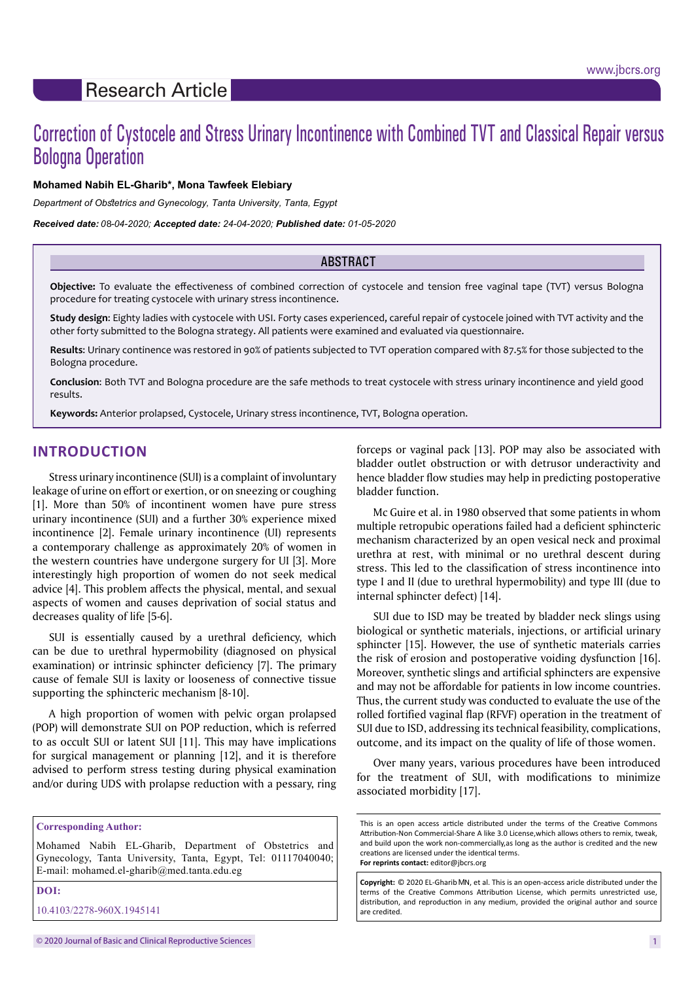# Correction of Cystocele and Stress Urinary Incontinence with Combined TVT and Classical Repair versus Bologna Operation

## **Mohamed Nabih EL-Gharib\*, Mona Tawfeek Elebiary**

*Department of Obstetrics and Gynecology, Tanta University, Tanta, Egypt*

*Received date: 0 -04-2020; Accepted date: 24-04-2020; Published date: 01-05-2020* 8

#### ABSTRACT

**Objective:** To evaluate the effectiveness of combined correction of cystocele and tension free vaginal tape (TVT) versus Bologna procedure for treating cystocele with urinary stress incontinence.

**Study design**: Eighty ladies with cystocele with USI. Forty cases experienced, careful repair of cystocele joined with TVT activity and the other forty submitted to the Bologna strategy. All patients were examined and evaluated via questionnaire.

**Results**: Urinary continence was restored in 90% of patients subjected to TVT operation compared with 87.5% for those subjected to the Bologna procedure.

**Conclusion**: Both TVT and Bologna procedure are the safe methods to treat cystocele with stress urinary incontinence and yield good results.

**Keywords:** Anterior prolapsed, Cystocele, Urinary stress incontinence, TVT, Bologna operation.

# **INTRODUCTION**

Stress urinary incontinence (SUI) is a complaint of involuntary leakage of urine on effort or exertion, or on sneezing or coughing [1]. More than 50% of incontinent women have pure stress urinary incontinence (SUI) and a further 30% experience mixed incontinence [2]. Female urinary incontinence (UI) represents a contemporary challenge as approximately 20% of women in the western countries have undergone surgery for UI [3]. More interestingly high proportion of women do not seek medical advice [4]. This problem affects the physical, mental, and sexual aspects of women and causes deprivation of social status and decreases quality of life [5-6].

SUI is essentially caused by a urethral deficiency, which can be due to urethral hypermobility (diagnosed on physical examination) or intrinsic sphincter deficiency [7]. The primary cause of female SUI is laxity or looseness of connective tissue supporting the sphincteric mechanism [8-10].

A high proportion of women with pelvic organ prolapsed (POP) will demonstrate SUI on POP reduction, which is referred to as occult SUI or latent SUI [11]. This may have implications for surgical management or planning [12], and it is therefore advised to perform stress testing during physical examination and/or during UDS with prolapse reduction with a pessary, ring

**Corresponding Author:** 

Mohamed Nabih EL-Gharib, Department of Obstetrics and Gynecology, Tanta University, Tanta, Egypt, Tel: 01117040040; E-mail: [mohamed.el-gharib@med.tanta.edu.eg](mailto:mohamed.el-gharib@med.tanta.edu.eg)

**DOI:** 

10.4103/2278-960X.1945141

forceps or vaginal pack [13]. POP may also be associated with bladder outlet obstruction or with detrusor underactivity and hence bladder flow studies may help in predicting postoperative bladder function.

Mc Guire et al. in 1980 observed that some patients in whom multiple retropubic operations failed had a deficient sphincteric mechanism characterized by an open vesical neck and proximal urethra at rest, with minimal or no urethral descent during stress. This led to the classification of stress incontinence into type I and II (due to urethral hypermobility) and type III (due to internal sphincter defect) [14].

SUI due to ISD may be treated by bladder neck slings using biological or synthetic materials, injections, or artificial urinary sphincter [15]. However, the use of synthetic materials carries the risk of erosion and postoperative voiding dysfunction [16]. Moreover, synthetic slings and artificial sphincters are expensive and may not be affordable for patients in low income countries. Thus, the current study was conducted to evaluate the use of the rolled fortified vaginal flap (RFVF) operation in the treatment of SUI due to ISD, addressing its technical feasibility, complications, outcome, and its impact on the quality of life of those women.

Over many years, various procedures have been introduced for the treatment of SUI, with modifications to minimize associated morbidity [17].

Copyright: © 2020 EL-Gharib MN, et al. This is an open-access aricle distributed under the terms of the Creative Commons Attribution License, which permits unrestricted use, distribution, and reproduction in any medium, provided the original author and source are credited.

This is an open access article distributed under the terms of the Creative Commons Attribution-Non Commercial-Share A like 3.0 License,which allows others to remix, tweak, and build upon the work non-commercially,as long as the author is credited and the new creations are licensed under the identical terms. **For reprints contact:** editor@jbcrs.org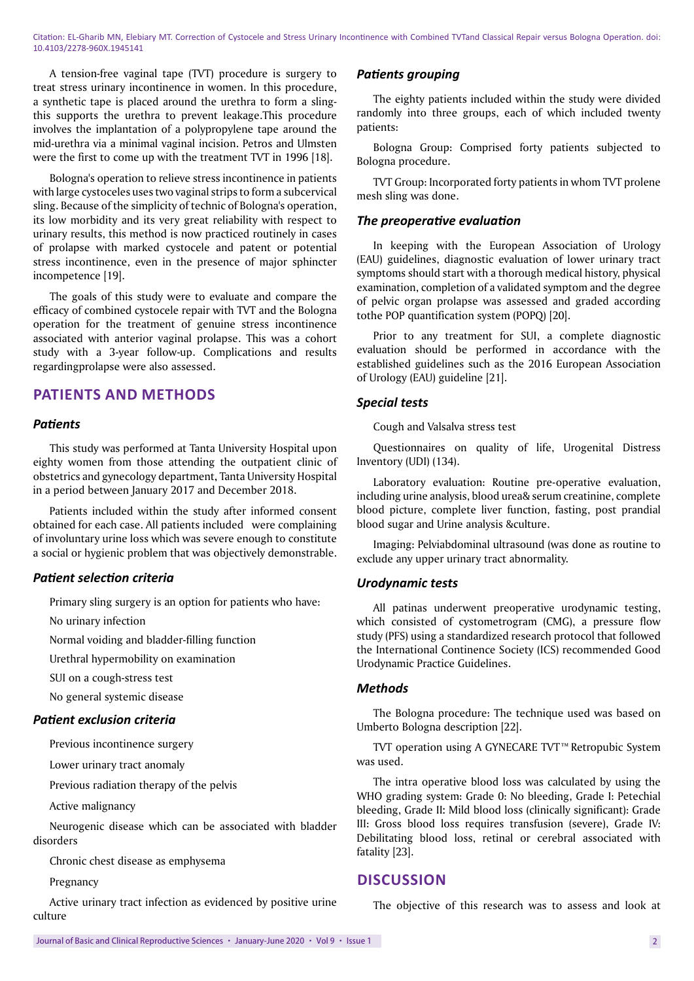Citation: EL-Gharib MN, Elebiary MT. Correction of Cystocele and Stress Urinary Incontinence with Combined TVTand Classical Repair versus Bologna Operation. doi: 10.4103/2278-960X.1945141

A tension-free vaginal tape (TVT) procedure is surgery to treat stress urinary incontinence in women. In this procedure, a synthetic tape is placed around the urethra to form a slingthis supports the urethra to prevent leakage.This procedure involves the implantation of a polypropylene tape around the mid-urethra via a minimal vaginal incision. Petros and Ulmsten were the first to come up with the treatment TVT in 1996 [18].

Bologna's operation to relieve stress incontinence in patients with large cystoceles uses two vaginal strips to form a subcervical sling. Because of the simplicity of technic of Bologna's operation, its low morbidity and its very great reliability with respect to urinary results, this method is now practiced routinely in cases of prolapse with marked cystocele and patent or potential stress incontinence, even in the presence of major sphincter incompetence [19].

The goals of this study were to evaluate and compare the efficacy of combined cystocele repair with TVT and the Bologna operation for the treatment of genuine stress incontinence associated with anterior vaginal prolapse. This was a cohort study with a 3-year follow-up. Complications and results regardingprolapse were also assessed.

## **PATIENTS AND METHODS**

#### *Patients*

This study was performed at Tanta University Hospital upon eighty women from those attending the outpatient clinic of obstetrics and gynecology department**,** Tanta University Hospital in a period between January 2017 and December 2018.

Patients included within the study after informed consent obtained for each case. All patients included were complaining of involuntary urine loss which was severe enough to constitute a social or hygienic problem that was objectively demonstrable.

#### *Patient selection criteria*

Primary sling surgery is an option for patients who have:

No urinary infection

Normal voiding and bladder-filling function

Urethral hypermobility on examination

SUI on a cough-stress test

No general systemic disease

#### *Patient exclusion criteria*

Previous incontinence surgery

Lower urinary tract anomaly

Previous radiation therapy of the pelvis

Active malignancy

Neurogenic disease which can be associated with bladder disorders

Chronic chest disease as emphysema

Pregnancy

Active urinary tract infection as evidenced by positive urine culture

#### *Patients grouping*

The eighty patients included within the study were divided randomly into three groups, each of which included twenty patients:

Bologna Group: Comprised forty patients subjected to Bologna procedure.

TVT Group: Incorporated forty patients in whom TVT prolene mesh sling was done.

#### *The preoperative evaluation*

In keeping with the European Association of Urology (EAU) guidelines, diagnostic evaluation of lower urinary tract symptoms should start with a thorough medical history, physical examination, completion of a validated symptom and the degree of pelvic organ prolapse was assessed and graded according tothe POP quantification system (POPQ) [20].

Prior to any treatment for SUI, a complete diagnostic evaluation should be performed in accordance with the established guidelines such as the 2016 European Association of Urology (EAU) guideline [21].

### *Special tests*

Cough and Valsalva stress test

Questionnaires on quality of life, Urogenital Distress Inventory (UDI) (134).

Laboratory evaluation: Routine pre-operative evaluation, including urine analysis, blood urea& serum creatinine, complete blood picture, complete liver function, fasting, post prandial blood sugar and Urine analysis &culture.

Imaging: Pelviabdominal ultrasound (was done as routine to exclude any upper urinary tract abnormality.

#### *Urodynamic tests*

All patinas underwent preoperative urodynamic testing, which consisted of cystometrogram (CMG), a pressure flow study (PFS) using a standardized research protocol that followed the International Continence Society (ICS) recommended Good Urodynamic Practice Guidelines.

## *Methods*

The Bologna procedure: The technique used was based on Umberto Bologna description [22].

TVT operation using A GYNECARE TVT™ Retropubic System was used.

The intra operative blood loss was calculated by using the WHO grading system: Grade 0: No bleeding, Grade I: Petechial bleeding, Grade II**:** Mild blood loss (clinically significant): Grade III: Gross blood loss requires transfusion (severe), Grade IV: Debilitating blood loss, retinal or cerebral associated with fatality [23].

## **DISCUSSION**

The objective of this research was to assess and look at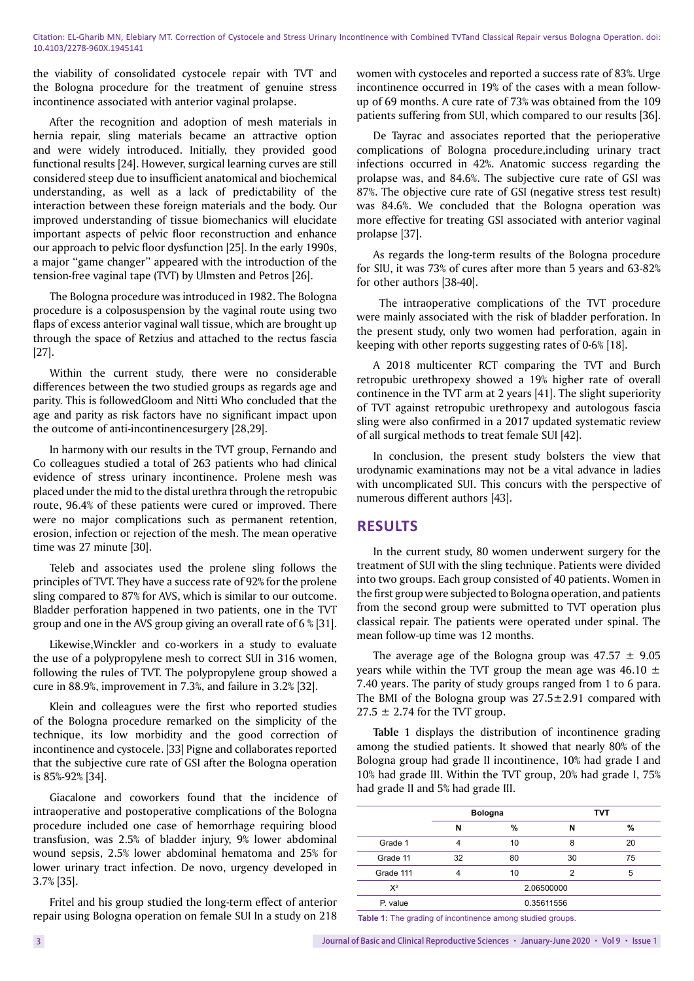the viability of consolidated cystocele repair with TVT and the Bologna procedure for the treatment of genuine stress incontinence associated with anterior vaginal prolapse.

After the recognition and adoption of mesh materials in hernia repair, sling materials became an attractive option and were widely introduced. Initially, they provided good functional results [24]. However, surgical learning curves are still considered steep due to insufficient anatomical and biochemical understanding, as well as a lack of predictability of the interaction between these foreign materials and the body. Our improved understanding of tissue biomechanics will elucidate important aspects of pelvic floor reconstruction and enhance our approach to pelvic floor dysfunction [25]. In the early 1990s, a major ''game changer'' appeared with the introduction of the tension-free vaginal tape (TVT) by Ulmsten and Petros [26].

The Bologna procedure was introduced in 1982. The Bologna procedure is a colposuspension by the vaginal route using two flaps of excess anterior vaginal wall tissue, which are brought up through the space of Retzius and attached to the rectus fascia [27].

Within the current study, there were no considerable differences between the two studied groups as regards age and parity. This is followedGloom and Nitti Who concluded that the age and parity as risk factors have no significant impact upon the outcome of anti-incontinencesurgery [28,29].

In harmony with our results in the TVT group, Fernando and Co colleagues studied a total of 263 patients who had clinical evidence of stress urinary incontinence. Prolene mesh was placed under the mid to the distal urethra through the retropubic route, 96.4% of these patients were cured or improved. There were no major complications such as permanent retention, erosion, infection or rejection of the mesh. The mean operative time was 27 minute [30].

Teleb and associates used the prolene sling follows the principles of TVT. They have a success rate of 92% for the prolene sling compared to 87% for AVS, which is similar to our outcome. Bladder perforation happened in two patients, one in the TVT group and one in the AVS group giving an overall rate of 6 % [31].

Likewise,Winckler and co-workers in a study to evaluate the use of a polypropylene mesh to correct SUI in 316 women, following the rules of TVT. The polypropylene group showed a cure in 88.9%, improvement in 7.3%, and failure in 3.2% [32].

Klein and colleagues were the first who reported studies of the Bologna procedure remarked on the simplicity of the technique, its low morbidity and the good correction of incontinence and cystocele. [33] Pigne and collaborates reported that the subjective cure rate of GSI after the Bologna operation is 85%-92% [34].

Giacalone and coworkers found that the incidence of intraoperative and postoperative complications of the Bologna procedure included one case of hemorrhage requiring blood transfusion, was 2.5% of bladder injury, 9% lower abdominal wound sepsis, 2.5% lower abdominal hematoma and 25% for lower urinary tract infection. De novo, urgency developed in 3.7% [35].

Fritel and his group studied the long-term effect of anterior repair using Bologna operation on female SUI In a study on 218 women with cystoceles and reported a success rate of 83%. Urge incontinence occurred in 19% of the cases with a mean followup of 69 months. A cure rate of 73% was obtained from the 109 patients suffering from SUI, which compared to our results [36].

De Tayrac and associates reported that the perioperative complications of Bologna procedure,including urinary tract infections occurred in 42%. Anatomic success regarding the prolapse was, and 84.6%. The subjective cure rate of GSI was 87%. The objective cure rate of GSI (negative stress test result) was 84.6%. We concluded that the Bologna operation was more effective for treating GSI associated with anterior vaginal prolapse [37].

As regards the long-term results of the Bologna procedure for SIU, it was 73% of cures after more than 5 years and 63-82% for other authors [38-40].

 The intraoperative complications of the TVT procedure were mainly associated with the risk of bladder perforation. In the present study, only two women had perforation, again in keeping with other reports suggesting rates of 0-6% [18].

A 2018 multicenter RCT comparing the TVT and Burch retropubic urethropexy showed a 19% higher rate of overall continence in the TVT arm at 2 years [41]. The slight superiority of TVT against retropubic urethropexy and autologous fascia sling were also confirmed in a 2017 updated systematic review of all surgical methods to treat female SUI [42].

In conclusion, the present study bolsters the view that urodynamic examinations may not be a vital advance in ladies with uncomplicated SUI. This concurs with the perspective of numerous different authors [43].

# **RESULTS**

In the current study, 80 women underwent surgery for the treatment of SUI with the sling technique. Patients were divided into two groups. Each group consisted of 40 patients. Women in the first group were subjected to Bologna operation, and patients from the second group were submitted to TVT operation plus classical repair. The patients were operated under spinal. The mean follow-up time was 12 months.

The average age of the Bologna group was  $47.57 \pm 9.05$ years while within the TVT group the mean age was  $46.10 \pm$ 7.40 years. The parity of study groups ranged from 1 to 6 para. The BMI of the Bologna group was  $27.5 \pm 2.91$  compared with  $27.5 \pm 2.74$  for the TVT group.

**Table 1** displays the distribution of incontinence grading among the studied patients. It showed that nearly 80% of the Bologna group had grade II incontinence, 10% had grade I and 10% had grade III. Within the TVT group, 20% had grade I, 75% had grade II and 5% had grade III.

|           | <b>Bologna</b> |    |    | TVT |  |  |
|-----------|----------------|----|----|-----|--|--|
|           | N              | %  | N  | %   |  |  |
| Grade 1   |                | 10 | 8  | 20  |  |  |
| Grade 11  | 32             | 80 | 30 | 75  |  |  |
| Grade 111 | 4              | 10 | 2  | 5   |  |  |
| $X^2$     | 2.06500000     |    |    |     |  |  |
| P. value  | 0.35611556     |    |    |     |  |  |

**Table 1:** The grading of incontinence among studied groups.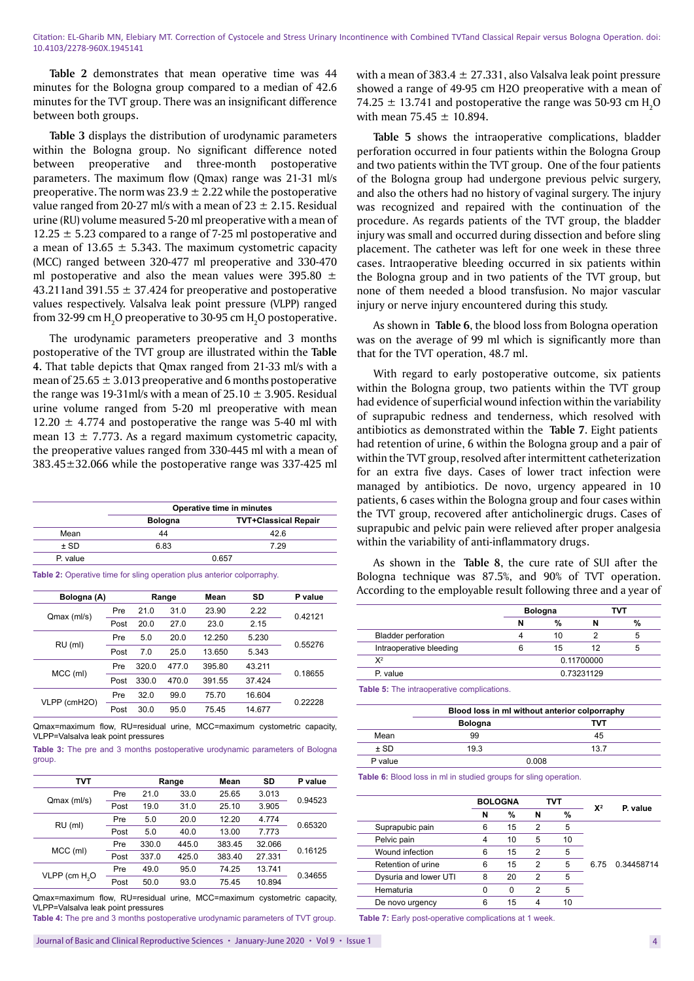**Table 2** demonstrates that mean operative time was 44 minutes for the Bologna group compared to a median of 42.6 minutes for the TVT group. There was an insignificant difference between both groups.

**Table 3** displays the distribution of urodynamic parameters within the Bologna group. No significant difference noted between preoperative and three-month postoperative parameters. The maximum flow (Qmax) range was 21-31 ml/s preoperative. The norm was  $23.9 \pm 2.22$  while the postoperative value ranged from 20-27 ml/s with a mean of  $23 \pm 2.15$ . Residual urine (RU) volume measured 5-20 ml preoperative with a mean of  $12.25 \pm 5.23$  compared to a range of 7-25 ml postoperative and a mean of 13.65  $\pm$  5.343. The maximum cystometric capacity (MCC) ranged between 320-477 ml preoperative and 330-470 ml postoperative and also the mean values were 395.80  $\pm$ 43.211 and 391.55  $\pm$  37.424 for preoperative and postoperative values respectively. Valsalva leak point pressure (VLPP) ranged from 32-99 cm  $\rm H_2O$  preoperative to 30-95 cm  $\rm H_2O$  postoperative.

The urodynamic parameters preoperative and 3 months postoperative of the TVT group are illustrated within the **Table 4.** That table depicts that Qmax ranged from 21-33 ml/s with a mean of  $25.65 \pm 3.013$  preoperative and 6 months postoperative the range was 19-31ml/s with a mean of  $25.10 \pm 3.905$ . Residual urine volume ranged from 5-20 ml preoperative with mean  $12.20 \pm 4.774$  and postoperative the range was 5-40 ml with mean 13  $\pm$  7.773. As a regard maximum cystometric capacity, the preoperative values ranged from 330-445 ml with a mean of 383.45±32.066 while the postoperative range was 337-425 ml

|          | Operative time in minutes |                             |  |  |  |
|----------|---------------------------|-----------------------------|--|--|--|
| Mean     | <b>Bologna</b>            | <b>TVT+Classical Repair</b> |  |  |  |
|          | 44                        | 42.6                        |  |  |  |
| $±$ SD   | 6.83                      | 7.29                        |  |  |  |
| P. value |                           | 0.657                       |  |  |  |

**Table 2:** Operative time for sling operation plus anterior colporraphy.

| Bologna (A)  |      |       | Range | Mean   | SD     | P value |
|--------------|------|-------|-------|--------|--------|---------|
| Qmax (ml/s)  | Pre  | 21.0  | 31.0  | 23.90  | 2.22   | 0.42121 |
|              | Post | 20.0  | 27.0  | 23.0   | 2.15   |         |
| $RU$ (ml)    | Pre  | 5.0   | 20.0  | 12.250 | 5.230  | 0.55276 |
|              | Post | 7.0   | 25.0  | 13.650 | 5.343  |         |
|              | Pre  | 320.0 | 477.0 | 395.80 | 43.211 | 0.18655 |
| MCC (ml)     | Post | 330.0 | 470.0 | 391.55 | 37.424 |         |
|              | Pre  | 32.0  | 99.0  | 75.70  | 16.604 | 0.22228 |
| VLPP (cmH2O) | Post | 30.0  | 95.0  | 75.45  | 14.677 |         |

Qmax=maximum flow, RU=residual urine, MCC=maximum cystometric capacity VLPP=Valsalva leak point pressures

**Table 3:** The pre and 3 months postoperative urodynamic parameters of Bologna group.

| тvт                       |      |       | Range | Mean   | SD     | P value |
|---------------------------|------|-------|-------|--------|--------|---------|
|                           | Pre  | 21.0  | 33.0  | 25.65  | 3.013  | 0.94523 |
| Qmax (ml/s)               | Post | 19.0  | 31.0  | 25.10  | 3.905  |         |
| $RU$ (ml)                 | Pre  | 5.0   | 20.0  | 12.20  | 4.774  | 0.65320 |
|                           | Post | 5.0   | 40.0  | 13.00  | 7.773  |         |
| MCC (ml)                  | Pre  | 330.0 | 445.0 | 383.45 | 32.066 | 0.16125 |
|                           | Post | 337.0 | 425.0 | 383.40 | 27.331 |         |
| VLPP (cm H <sub>2</sub> O | Pre  | 49.0  | 95.0  | 74.25  | 13.741 |         |
|                           | Post | 50.0  | 93.0  | 75.45  | 10.894 | 0.34655 |

Qmax=maximum flow, RU=residual urine, MCC=maximum cystometric capacity, VLPP=Valsalva leak point pressures

**Table 4:** The pre and 3 months postoperative urodynamic parameters of TVT group.

with a mean of 383.4  $\pm$  27.331, also Valsalva leak point pressure showed a range of 49-95 cm H2O preoperative with a mean of 74.25  $\pm$  13.741 and postoperative the range was 50-93 cm  $\rm H_2O$ with mean  $75.45 \pm 10.894$ .

**Table 5** shows the intraoperative complications, bladder perforation occurred in four patients within the Bologna Group and two patients within the TVT group. One of the four patients of the Bologna group had undergone previous pelvic surgery, and also the others had no history of vaginal surgery. The injury was recognized and repaired with the continuation of the procedure. As regards patients of the TVT group, the bladder injury was small and occurred during dissection and before sling placement. The catheter was left for one week in these three cases. Intraoperative bleeding occurred in six patients within the Bologna group and in two patients of the TVT group, but none of them needed a blood transfusion. No major vascular injury or nerve injury encountered during this study.

As shown in **Table 6**, the blood loss from Bologna operation was on the average of 99 ml which is significantly more than that for the TVT operation, 48.7 ml.

With regard to early postoperative outcome, six patients within the Bologna group, two patients within the TVT group had evidence of superficial wound infection within the variability of suprapubic redness and tenderness, which resolved with antibiotics as demonstrated within the **Table 7**. Eight patients had retention of urine, 6 within the Bologna group and a pair of within the TVT group, resolved after intermittent catheterization for an extra five days. Cases of lower tract infection were managed by antibiotics. De novo, urgency appeared in 10 patients, 6 cases within the Bologna group and four cases within the TVT group, recovered after anticholinergic drugs. Cases of suprapubic and pelvic pain were relieved after proper analgesia within the variability of anti-inflammatory drugs.

As shown in the **Table 8**, the cure rate of SUI after the Bologna technique was 87.5%, and 90% of TVT operation. According to the employable result following three and a year of

|                            | <b>Bologna</b> |    |            | тvт |
|----------------------------|----------------|----|------------|-----|
|                            | N              | %  |            | %   |
| <b>Bladder perforation</b> |                | 10 |            | 5   |
| Intraoperative bleeding    | 6              | 15 | 12         | h   |
| $X^2$                      |                |    | 0.11700000 |     |
| P. value                   | 0.73231129     |    |            |     |

**Table 5:** The intraoperative complications.

|         | Blood loss in ml without anterior colporraphy |      |  |  |  |
|---------|-----------------------------------------------|------|--|--|--|
|         | <b>Bologna</b>                                | тvт  |  |  |  |
| Mean    | 99                                            | 45   |  |  |  |
| $±$ SD  | 19.3                                          | 13.7 |  |  |  |
| P value | 0.008                                         |      |  |  |  |

**Table 6:** Blood loss in ml in studied groups for sling operation.

|                       | <b>BOLOGNA</b> |    |                | тvт |                |            |
|-----------------------|----------------|----|----------------|-----|----------------|------------|
|                       | N              | %  | N              | %   | $\mathbf{X}^2$ | P. value   |
| Suprapubic pain       | 6              | 15 | 2              | 5   |                |            |
| Pelvic pain           |                | 10 | 5              | 10  |                |            |
| Wound infection       | 6              | 15 | $\overline{2}$ | 5   |                |            |
| Retention of urine    | 6              | 15 | $\overline{2}$ | 5   | 6.75           | 0.34458714 |
| Dysuria and lower UTI | 8              | 20 | $\overline{2}$ | 5   |                |            |
| Hematuria             | n              | 0  | $\overline{2}$ | 5   |                |            |
| De novo urgency       | 6              | 15 |                | 10  |                |            |

Table 7: Early post-operative complications at 1 week.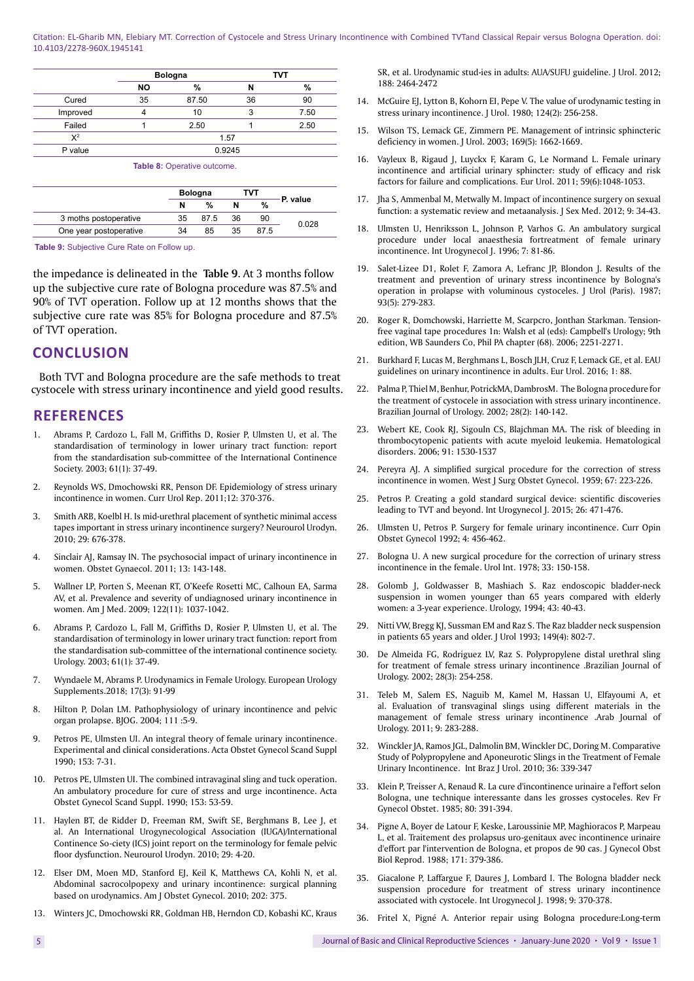Citation: EL-Gharib MN, Elebiary MT. Correction of Cystocele and Stress Urinary Incontinence with Combined TVTand Classical Repair versus Bologna Operation. doi: 10.4103/2278-960X.1945141

|          |           | <b>Bologna</b> |        | TVT  |  |
|----------|-----------|----------------|--------|------|--|
|          | <b>NO</b> | %              |        | %    |  |
| Cured    | 35        | 87.50          | 36     | 90   |  |
| Improved |           | 10             | 3      | 7.50 |  |
| Failed   |           | 2.50           |        | 2.50 |  |
| $X^2$    |           |                | 1.57   |      |  |
| P value  |           |                | 0.9245 |      |  |

**Table 8:** Operative outcome.

|                        | <b>Bologna</b> |      | тvт |               |          |  |
|------------------------|----------------|------|-----|---------------|----------|--|
|                        | N              | %    | N   | $\frac{0}{2}$ | P. value |  |
| 3 moths postoperative  | 35             | 87.5 | 36  | 90            |          |  |
| One year postoperative | 34             | 85   | 35  | 87.5          | 0.028    |  |

**Table 9:** Subjective Cure Rate on Follow up.

the impedance is delineated in the **Table 9**. At 3 months follow up the subjective cure rate of Bologna procedure was 87.5% and 90% of TVT operation. Follow up at 12 months shows that the subjective cure rate was 85% for Bologna procedure and 87.5% of TVT operation.

# **CONCLUSION**

Both TVT and Bologna procedure are the safe methods to treat cystocele with stress urinary incontinence and yield good results.

## **REFERENCES**

- 1. Abrams P, Cardozo L, Fall M, [Griffiths D,](https://www.ncbi.nlm.nih.gov/pubmed/?term=Griffiths D%5BAuthor%5D&cauthor=true&cauthor_uid=12559262) [Rosier P,](https://www.ncbi.nlm.nih.gov/pubmed/?term=Rosier P%5BAuthor%5D&cauthor=true&cauthor_uid=12559262) [Ulmsten U,](https://www.ncbi.nlm.nih.gov/pubmed/?term=Ulmsten U%5BAuthor%5D&cauthor=true&cauthor_uid=12559262) et al. The standardisation of terminology in lower urinary tract function: report from the standardisation sub-committee of the International Continence Society. 2003; 61(1): 37-49.
- 2. Reynolds WS, Dmochowski RR, Penson DF. Epidemiology of stress urinary incontinence in women. Curr Urol Rep. 2011;12: 370-376.
- 3. Smith ARB, Koelbl H. Is mid-urethral placement of synthetic minimal access tapes important in stress urinary incontinence surgery? Neurourol Urodyn. 2010; 29: 676-378.
- 4. Sinclair AJ, Ramsay IN. The psychosocial impact of urinary incontinence in women. Obstet Gynaecol. 2011; 13: 143-148.
- 5. Wallner LP, Porten S, Meenan RT, O'Keefe Rosetti MC, Calhoun EA, Sarma AV, et al. Prevalence and severity of undiagnosed urinary incontinence in women. Am J Med. 2009; 122(11): 1037-1042.
- 6. Abrams P, Cardozo L, Fall M, Griffiths D, Rosier P, Ulmsten U, et al. The standardisation of terminology in lower urinary tract function: report from the standardisation sub-committee of the international continence society. Urology. 2003; 61(1): 37-49.
- 7. Wyndaele M, Abrams P. Urodynamics in Female Urology. European Urology Supplements.2018; 17(3): 91-99
- 8. Hilton P, Dolan LM. Pathophysiology of urinary incontinence and pelvic organ prolapse. BJOG. 2004; 111 :5-9.
- 9. Petros PE, Ulmsten UI. An integral theory of female urinary incontinence. Experimental and clinical considerations. Acta Obstet Gynecol Scand Suppl 1990; 153: 7-31.
- 10. Petros PE, Ulmsten UI. The combined intravaginal sling and tuck operation. An ambulatory procedure for cure of stress and urge incontinence. Acta Obstet Gynecol Scand Suppl. 1990; 153: 53-59.
- 11. Haylen BT, de Ridder D, Freeman RM, [Swift SE](https://www.ncbi.nlm.nih.gov/pubmed/?term=Swift SE%5BAuthor%5D&cauthor=true&cauthor_uid=19937315), [Berghmans B](https://www.ncbi.nlm.nih.gov/pubmed/?term=Berghmans B%5BAuthor%5D&cauthor=true&cauthor_uid=19937315), [Lee J](https://www.ncbi.nlm.nih.gov/pubmed/?term=Lee J%5BAuthor%5D&cauthor=true&cauthor_uid=19937315), et al. An International Urogynecological Association (IUGA)/International Continence So-ciety (ICS) joint report on the terminology for female pelvic floor dysfunction. Neurourol Urodyn. 2010; 29: 4-20.
- 12. Elser DM, Moen MD, Stanford EJ, [Keil K,](https://www.ncbi.nlm.nih.gov/pubmed/?term=Keil K%5BAuthor%5D&cauthor=true&cauthor_uid=19683689) [Matthews CA](https://www.ncbi.nlm.nih.gov/pubmed/?term=Matthews CA%5BAuthor%5D&cauthor=true&cauthor_uid=19683689), [Kohli N](https://www.ncbi.nlm.nih.gov/pubmed/?term=Kohli N%5BAuthor%5D&cauthor=true&cauthor_uid=19683689), et al. Abdominal sacrocolpopexy and urinary incontinence: surgical planning based on urodynamics. Am J Obstet Gynecol. 2010; 202: 375.
- 13. Winters JC, Dmochowski RR, Goldman HB, [Herndon CD,](https://www.ncbi.nlm.nih.gov/pubmed/?term=Herndon CD%5BAuthor%5D&cauthor=true&cauthor_uid=23098783) [Kobashi KC,](https://www.ncbi.nlm.nih.gov/pubmed/?term=Kobashi KC%5BAuthor%5D&cauthor=true&cauthor_uid=23098783) [Kraus](https://www.ncbi.nlm.nih.gov/pubmed/?term=Kraus SR%5BAuthor%5D&cauthor=true&cauthor_uid=23098783)

[SR](https://www.ncbi.nlm.nih.gov/pubmed/?term=Kraus SR%5BAuthor%5D&cauthor=true&cauthor_uid=23098783), et al. Urodynamic stud-ies in adults: AUA/SUFU guideline. J Urol. 2012; 188: 2464-2472

- 14. McGuire EJ, Lytton B, Kohorn EI, Pepe V. The value of urodynamic testing in stress urinary incontinence. J Urol. 1980; 124(2): 256-258.
- 15. Wilson TS, Lemack GE, Zimmern PE. Management of intrinsic sphincteric deficiency in women. J Urol. 2003; 169(5): 1662-1669.
- 16. Vayleux B, Rigaud J, Luyckx F, Karam G, Le Normand L. Female urinary incontinence and artificial urinary sphincter: study of efficacy and risk factors for failure and complications. Eur Urol. 2011; 59(6):1048-1053.
- 17. Jha S, Ammenbal M, Metwally M. Impact of incontinence surgery on sexual function: a systematic review and metaanalysis. J Sex Med. 2012; 9: 34-43.
- 18. Ulmsten U, Henriksson L, Johnson P, Varhos G. An ambulatory surgical procedure under local anaesthesia fortreatment of female urinary incontinence. Int Urogynecol J. 1996; 7: 81-86.
- 19. [Salet-Lizee D1](https://www.ncbi.nlm.nih.gov/pubmed/?term=Salet-Lizee D%5BAuthor%5D&cauthor=true&cauthor_uid=3693937), [Rolet F](https://www.ncbi.nlm.nih.gov/pubmed/?term=Rolet F%5BAuthor%5D&cauthor=true&cauthor_uid=3693937), [Zamora A](https://www.ncbi.nlm.nih.gov/pubmed/?term=Zamora A%5BAuthor%5D&cauthor=true&cauthor_uid=3693937), [Lefranc JP](https://www.ncbi.nlm.nih.gov/pubmed/?term=Lefranc JP%5BAuthor%5D&cauthor=true&cauthor_uid=3693937), [Blondon J](https://www.ncbi.nlm.nih.gov/pubmed/?term=Blondon J%5BAuthor%5D&cauthor=true&cauthor_uid=3693937). Results of the treatment and prevention of urinary stress incontinence by Bologna's operation in prolapse with voluminous cystoceles. [J Urol \(Paris\).](https://www.ncbi.nlm.nih.gov/pubmed/3693937) 1987; 93(5): 279-283.
- 20. Roger R, Domchowski, Harriette M, Scarpcro, Jonthan Starkman. Tensionfree vaginal tape procedures 1n: Walsh et al (eds): Campbell's Urology; 9th edition, WB Saunders Co, Phil PA chapter (68). 2006; 2251-2271.
- 21. Burkhard F, Lucas M, Berghmans L, Bosch JLH, Cruz F, Lemack GE, et al. EAU guidelines on urinary incontinence in adults. Eur Urol. 2016; 1: 88.
- 22. Palma P, Thiel M, Benhur, PotrickMA, DambrosM. The Bologna procedure for the treatment of cystocele in association with stress urinary incontinence. Brazilian Journal of Urology. 2002; 28(2): 140-142.
- 23. Webert KE, Cook RJ, Sigouln CS, Blajchman MA. The risk of bleeding in thrombocytopenic patients with acute myeloid leukemia. Hematological disorders. 2006; 91: 1530-1537
- 24. Pereyra AJ. A simplified surgical procedure for the correction of stress incontinence in women. West J Surg Obstet Gynecol. 1959; 67: 223-226.
- 25. Petros P. Creating a gold standard surgical device: scientific discoveries leading to TVT and beyond. Int Urogynecol J. 2015; 26: 471-476.
- 26. Ulmsten U, Petros P. Surgery for female urinary incontinence. Curr Opin Obstet Gynecol 1992; 4: 456-462.
- 27. Bologna U. A new surgical procedure for the correction of urinary stress incontinence in the female. Urol Int. 1978; 33: 150-158.
- 28. Golomb J, Goldwasser B, Mashiach S. Raz endoscopic bladder-neck suspension in women younger than 65 years compared with elderly women: a 3-year experience. Urology, 1994; 43: 40-43.
- 29. Nitti VW, Bregg KJ, Sussman EM and Raz S. The Raz bladder neck suspension in patients 65 years and older. J Urol 1993; 149(4): 802-7.
- 30. De Almeida FG, Rodriguez LV, Raz S. Polypropylene distal urethral sling for treatment of female stress urinary incontinence .Brazilian Journal of Urology. 2002; 28(3): 254-258.
- 31. Teleb M, Salem ES, Naguib M, Kamel M, Hassan U, Elfayoumi A, et al. Evaluation of transvaginal slings using different materials in the management of female stress urinary incontinence .Arab Journal of Urology. 2011; 9: 283-288.
- 32. Winckler JA, Ramos JGL, Dalmolin BM, Winckler DC, Doring M. Comparative Study of Polypropylene and Aponeurotic Slings in the Treatment of Female Urinary Incontinence. Int Braz J Urol. 2010; 36: 339-347
- 33. Klein P, Treisser A, Renaud R. La cure d'incontinence urinaire a l'effort selon Bologna, une technique interessante dans les grosses cystoceles. Rev Fr Gynecol Obstet. 1985; 80: 391-394.
- 34. Pigne A, Boyer de Latour F, Keske, Laroussinie MP, Maghioracos P, Marpeau L, et al. Traitement des prolapsus uro-genitaux avec incontinence urinaire d'effort par l'intervention de Bologna, et propos de 90 cas. J Gynecol Obst Biol Reprod. 1988; 171: 379-386.
- 35. Giacalone P, Laffargue F, Daures J, Lombard I. The Bologna bladder neck suspension procedure for treatment of stress urinary incontinence associated with cystocele. Int Urogynecol J. 1998; 9: 370-378.
- 36. Fritel X, Pigné A. Anterior repair using Bologna procedure:Long-term